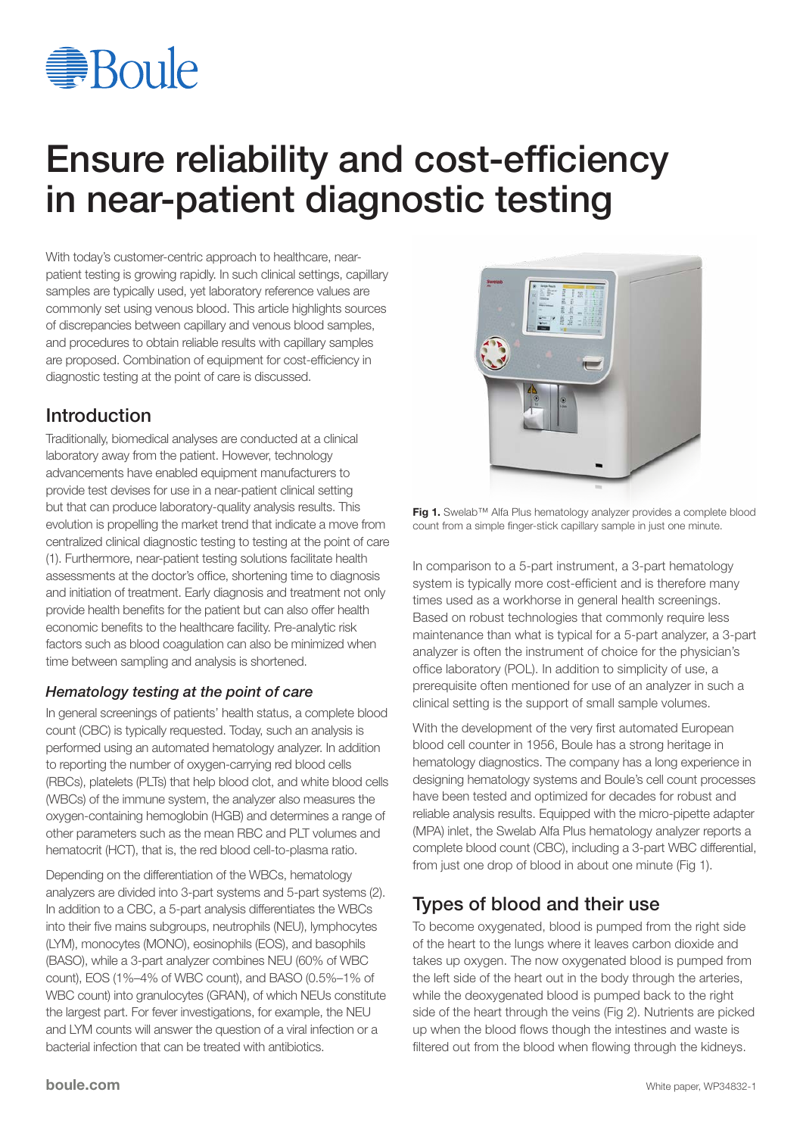# <del></del>**Boule**

# Ensure reliability and cost-efficiency in near-patient diagnostic testing

With today's customer-centric approach to healthcare, nearpatient testing is growing rapidly. In such clinical settings, capillary samples are typically used, yet laboratory reference values are commonly set using venous blood. This article highlights sources of discrepancies between capillary and venous blood samples, and procedures to obtain reliable results with capillary samples are proposed. Combination of equipment for cost-efficiency in diagnostic testing at the point of care is discussed.

## Introduction

Traditionally, biomedical analyses are conducted at a clinical laboratory away from the patient. However, technology advancements have enabled equipment manufacturers to provide test devises for use in a near-patient clinical setting but that can produce laboratory-quality analysis results. This evolution is propelling the market trend that indicate a move from centralized clinical diagnostic testing to testing at the point of care (1). Furthermore, near-patient testing solutions facilitate health assessments at the doctor's office, shortening time to diagnosis and initiation of treatment. Early diagnosis and treatment not only provide health benefits for the patient but can also offer health economic benefits to the healthcare facility. Pre-analytic risk factors such as blood coagulation can also be minimized when time between sampling and analysis is shortened.

#### *Hematology testing at the point of care*

In general screenings of patients' health status, a complete blood count (CBC) is typically requested. Today, such an analysis is performed using an automated hematology analyzer. In addition to reporting the number of oxygen-carrying red blood cells (RBCs), platelets (PLTs) that help blood clot, and white blood cells (WBCs) of the immune system, the analyzer also measures the oxygen-containing hemoglobin (HGB) and determines a range of other parameters such as the mean RBC and PLT volumes and hematocrit (HCT), that is, the red blood cell-to-plasma ratio.

Depending on the differentiation of the WBCs, hematology analyzers are divided into 3-part systems and 5-part systems (2). In addition to a CBC, a 5-part analysis differentiates the WBCs into their five mains subgroups, neutrophils (NEU), lymphocytes (LYM), monocytes (MONO), eosinophils (EOS), and basophils (BASO), while a 3-part analyzer combines NEU (60% of WBC count), EOS (1%–4% of WBC count), and BASO (0.5%–1% of WBC count) into granulocytes (GRAN), of which NEUs constitute the largest part. For fever investigations, for example, the NEU and LYM counts will answer the question of a viral infection or a bacterial infection that can be treated with antibiotics.



Fig 1. Swelab™ Alfa Plus hematology analyzer provides a complete blood count from a simple finger-stick capillary sample in just one minute.

In comparison to a 5-part instrument, a 3-part hematology system is typically more cost-efficient and is therefore many times used as a workhorse in general health screenings. Based on robust technologies that commonly require less maintenance than what is typical for a 5-part analyzer, a 3-part analyzer is often the instrument of choice for the physician's office laboratory (POL). In addition to simplicity of use, a prerequisite often mentioned for use of an analyzer in such a clinical setting is the support of small sample volumes.

With the development of the very first automated European blood cell counter in 1956, Boule has a strong heritage in hematology diagnostics. The company has a long experience in designing hematology systems and Boule's cell count processes have been tested and optimized for decades for robust and reliable analysis results. Equipped with the micro-pipette adapter (MPA) inlet, the Swelab Alfa Plus hematology analyzer reports a complete blood count (CBC), including a 3-part WBC differential, from just one drop of blood in about one minute (Fig 1).

# Types of blood and their use

To become oxygenated, blood is pumped from the right side of the heart to the lungs where it leaves carbon dioxide and takes up oxygen. The now oxygenated blood is pumped from the left side of the heart out in the body through the arteries, while the deoxygenated blood is pumped back to the right side of the heart through the veins (Fig 2). Nutrients are picked up when the blood flows though the intestines and waste is filtered out from the blood when flowing through the kidneys.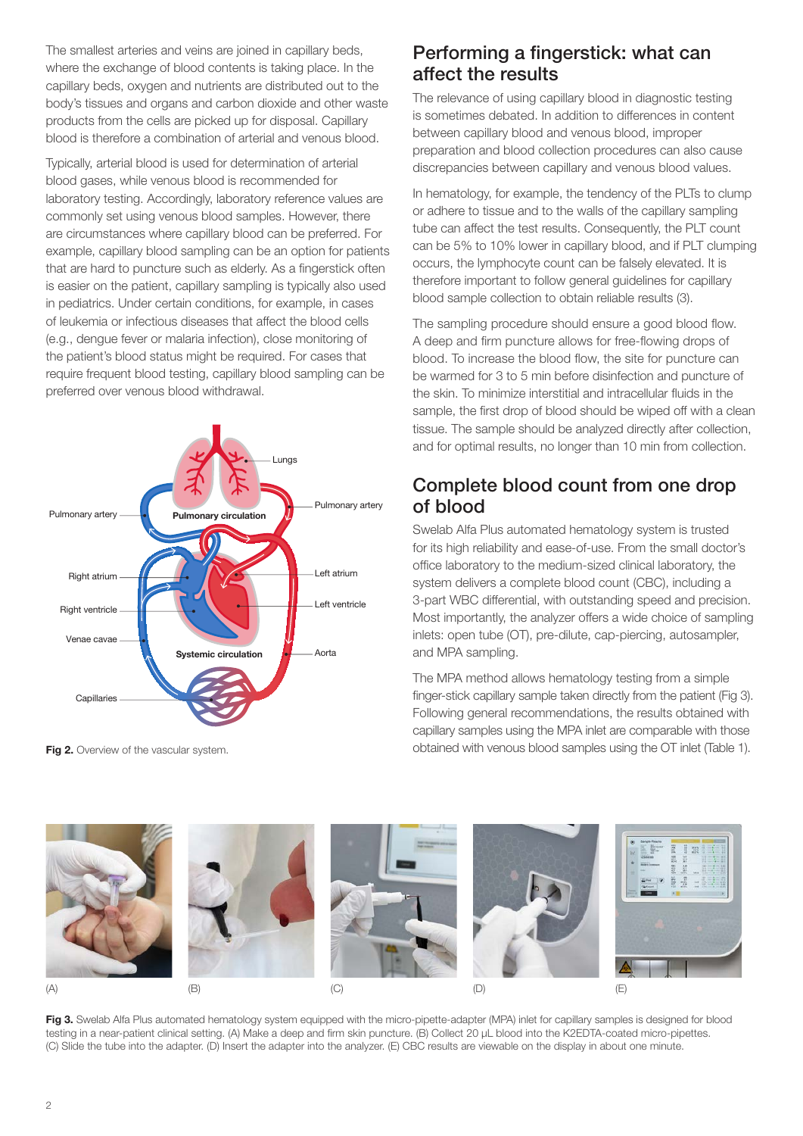The smallest arteries and veins are joined in capillary beds, where the exchange of blood contents is taking place. In the capillary beds, oxygen and nutrients are distributed out to the body's tissues and organs and carbon dioxide and other waste products from the cells are picked up for disposal. Capillary blood is therefore a combination of arterial and venous blood.

Typically, arterial blood is used for determination of arterial blood gases, while venous blood is recommended for laboratory testing. Accordingly, laboratory reference values are commonly set using venous blood samples. However, there are circumstances where capillary blood can be preferred. For example, capillary blood sampling can be an option for patients that are hard to puncture such as elderly. As a fingerstick often is easier on the patient, capillary sampling is typically also used in pediatrics. Under certain conditions, for example, in cases of leukemia or infectious diseases that affect the blood cells (e.g., dengue fever or malaria infection), close monitoring of the patient's blood status might be required. For cases that require frequent blood testing, capillary blood sampling can be preferred over venous blood withdrawal.



Fig 2. Overview of the vascular system.

#### Performing a fingerstick: what can affect the results

The relevance of using capillary blood in diagnostic testing is sometimes debated. In addition to differences in content between capillary blood and venous blood, improper preparation and blood collection procedures can also cause discrepancies between capillary and venous blood values.

In hematology, for example, the tendency of the PLTs to clump or adhere to tissue and to the walls of the capillary sampling tube can affect the test results. Consequently, the PLT count can be 5% to 10% lower in capillary blood, and if PLT clumping occurs, the lymphocyte count can be falsely elevated. It is therefore important to follow general guidelines for capillary blood sample collection to obtain reliable results (3).

The sampling procedure should ensure a good blood flow. A deep and firm puncture allows for free-flowing drops of blood. To increase the blood flow, the site for puncture can be warmed for 3 to 5 min before disinfection and puncture of the skin. To minimize interstitial and intracellular fluids in the sample, the first drop of blood should be wiped off with a clean tissue. The sample should be analyzed directly after collection, and for optimal results, no longer than 10 min from collection.

#### Complete blood count from one drop of blood

Swelab Alfa Plus automated hematology system is trusted for its high reliability and ease-of-use. From the small doctor's office laboratory to the medium-sized clinical laboratory, the system delivers a complete blood count (CBC), including a 3-part WBC differential, with outstanding speed and precision. Most importantly, the analyzer offers a wide choice of sampling inlets: open tube (OT), pre-dilute, cap-piercing, autosampler, and MPA sampling.

The MPA method allows hematology testing from a simple finger-stick capillary sample taken directly from the patient (Fig 3). Following general recommendations, the results obtained with capillary samples using the MPA inlet are comparable with those obtained with venous blood samples using the OT inlet (Table 1).



Fig 3. Swelab Alfa Plus automated hematology system equipped with the micro-pipette-adapter (MPA) inlet for capillary samples is designed for blood testing in a near-patient clinical setting. (A) Make a deep and firm skin puncture. (B) Collect 20 μL blood into the K2EDTA-coated micro-pipettes. (C) Slide the tube into the adapter. (D) Insert the adapter into the analyzer. (E) CBC results are viewable on the display in about one minute.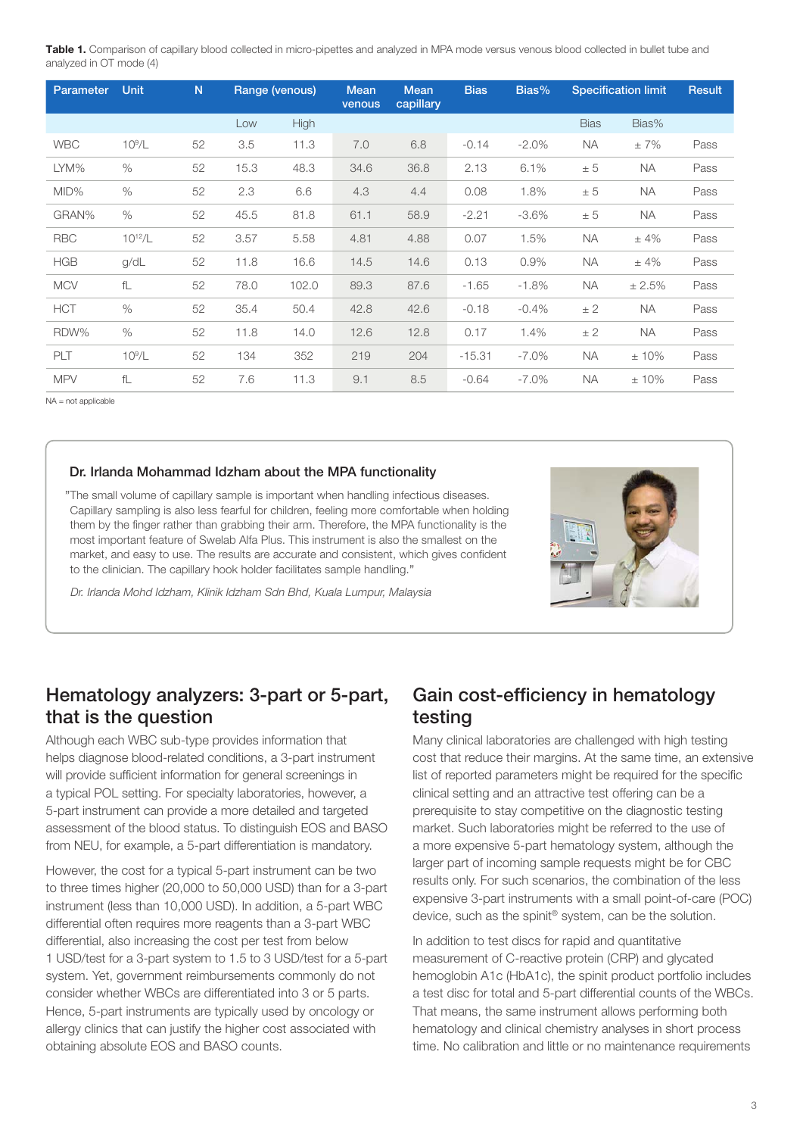Table 1. Comparison of capillary blood collected in micro-pipettes and analyzed in MPA mode versus venous blood collected in bullet tube and analyzed in OT mode (4)

| <b>Parameter</b> | <b>Unit</b> | N  | Range (venous) |       | <b>Mean</b><br>venous | <b>Mean</b><br>capillary | <b>Bias</b> | Bias%    | <b>Specification limit</b> |           | <b>Result</b> |
|------------------|-------------|----|----------------|-------|-----------------------|--------------------------|-------------|----------|----------------------------|-----------|---------------|
|                  |             |    | Low            | High  |                       |                          |             |          | <b>Bias</b>                | Bias%     |               |
| <b>WBC</b>       | $10^9/L$    | 52 | 3.5            | 11.3  | 7.0                   | 6.8                      | $-0.14$     | $-2.0%$  | <b>NA</b>                  | ±7%       | Pass          |
| LYM%             | $\%$        | 52 | 15.3           | 48.3  | 34.6                  | 36.8                     | 2.13        | 6.1%     | ± 5                        | <b>NA</b> | Pass          |
| MID%             | $\%$        | 52 | 2.3            | 6.6   | 4.3                   | 4.4                      | 0.08        | 1.8%     | ± 5                        | <b>NA</b> | Pass          |
| GRAN%            | $\%$        | 52 | 45.5           | 81.8  | 61.1                  | 58.9                     | $-2.21$     | $-3.6%$  | ± 5                        | <b>NA</b> | Pass          |
| <b>RBC</b>       | $10^{12}/L$ | 52 | 3.57           | 5.58  | 4.81                  | 4.88                     | 0.07        | 1.5%     | <b>NA</b>                  | ±4%       | Pass          |
| <b>HGB</b>       | g/dL        | 52 | 11.8           | 16.6  | 14.5                  | 14.6                     | 0.13        | 0.9%     | <b>NA</b>                  | ±4%       | Pass          |
| <b>MCV</b>       | fL          | 52 | 78.0           | 102.0 | 89.3                  | 87.6                     | $-1.65$     | $-1.8%$  | <b>NA</b>                  | ± 2.5%    | Pass          |
| <b>HCT</b>       | $\%$        | 52 | 35.4           | 50.4  | 42.8                  | 42.6                     | $-0.18$     | $-0.4%$  | ± 2                        | <b>NA</b> | Pass          |
| RDW%             | $\%$        | 52 | 11.8           | 14.0  | 12.6                  | 12.8                     | 0.17        | 1.4%     | ± 2                        | <b>NA</b> | Pass          |
| PLT              | $10^9/L$    | 52 | 134            | 352   | 219                   | 204                      | $-15.31$    | $-7.0\%$ | <b>NA</b>                  | $±10\%$   | Pass          |
| <b>MPV</b>       | fL          | 52 | 7.6            | 11.3  | 9.1                   | 8.5                      | $-0.64$     | $-7.0\%$ | <b>NA</b>                  | $±10\%$   | Pass          |

NA = not applicable

#### Dr. Irlanda Mohammad Idzham about the MPA functionality

"The small volume of capillary sample is important when handling infectious diseases. Capillary sampling is also less fearful for children, feeling more comfortable when holding them by the finger rather than grabbing their arm. Therefore, the MPA functionality is the most important feature of Swelab Alfa Plus. This instrument is also the smallest on the market, and easy to use. The results are accurate and consistent, which gives confident to the clinician. The capillary hook holder facilitates sample handling."

*Dr. Irlanda Mohd Idzham, Klinik Idzham Sdn Bhd, Kuala Lumpur, Malaysia*



#### Hematology analyzers: 3-part or 5-part, that is the question

Although each WBC sub-type provides information that helps diagnose blood-related conditions, a 3-part instrument will provide sufficient information for general screenings in a typical POL setting. For specialty laboratories, however, a 5-part instrument can provide a more detailed and targeted assessment of the blood status. To distinguish EOS and BASO from NEU, for example, a 5-part differentiation is mandatory.

However, the cost for a typical 5-part instrument can be two to three times higher (20,000 to 50,000 USD) than for a 3-part instrument (less than 10,000 USD). In addition, a 5-part WBC differential often requires more reagents than a 3-part WBC differential, also increasing the cost per test from below 1 USD/test for a 3-part system to 1.5 to 3 USD/test for a 5-part system. Yet, government reimbursements commonly do not consider whether WBCs are differentiated into 3 or 5 parts. Hence, 5-part instruments are typically used by oncology or allergy clinics that can justify the higher cost associated with obtaining absolute EOS and BASO counts.

#### Gain cost-efficiency in hematology testing

Many clinical laboratories are challenged with high testing cost that reduce their margins. At the same time, an extensive list of reported parameters might be required for the specific clinical setting and an attractive test offering can be a prerequisite to stay competitive on the diagnostic testing market. Such laboratories might be referred to the use of a more expensive 5-part hematology system, although the larger part of incoming sample requests might be for CBC results only. For such scenarios, the combination of the less expensive 3-part instruments with a small point-of-care (POC) device, such as the spinit® system, can be the solution.

In addition to test discs for rapid and quantitative measurement of C-reactive protein (CRP) and glycated hemoglobin A1c (HbA1c), the spinit product portfolio includes a test disc for total and 5-part differential counts of the WBCs. That means, the same instrument allows performing both hematology and clinical chemistry analyses in short process time. No calibration and little or no maintenance requirements